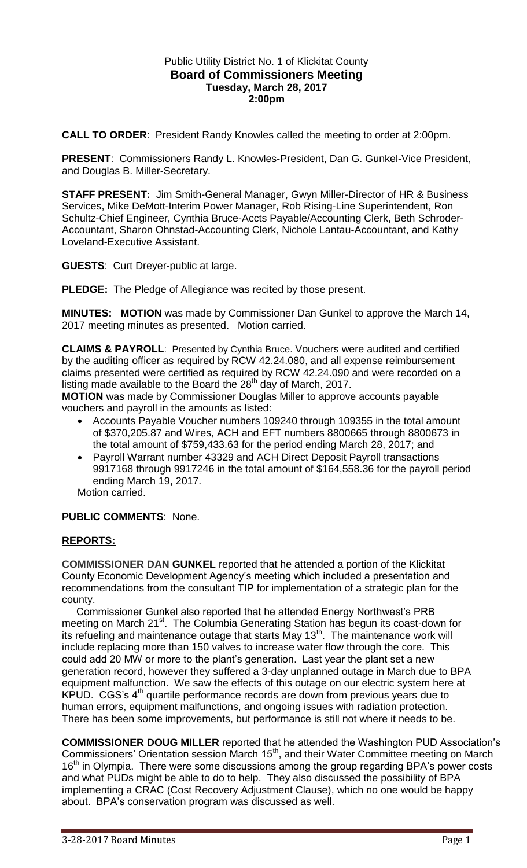## Public Utility District No. 1 of Klickitat County **Board of Commissioners Meeting Tuesday, March 28, 2017 2:00pm**

**CALL TO ORDER**: President Randy Knowles called the meeting to order at 2:00pm.

**PRESENT**: Commissioners Randy L. Knowles-President, Dan G. Gunkel-Vice President, and Douglas B. Miller-Secretary.

**STAFF PRESENT:** Jim Smith-General Manager, Gwyn Miller-Director of HR & Business Services, Mike DeMott-Interim Power Manager, Rob Rising-Line Superintendent, Ron Schultz-Chief Engineer, Cynthia Bruce-Accts Payable/Accounting Clerk, Beth Schroder-Accountant, Sharon Ohnstad-Accounting Clerk, Nichole Lantau-Accountant, and Kathy Loveland-Executive Assistant.

**GUESTS**: Curt Dreyer-public at large.

**PLEDGE:** The Pledge of Allegiance was recited by those present.

**MINUTES: MOTION** was made by Commissioner Dan Gunkel to approve the March 14, 2017 meeting minutes as presented. Motion carried.

**CLAIMS & PAYROLL**: Presented by Cynthia Bruce. Vouchers were audited and certified by the auditing officer as required by RCW 42.24.080, and all expense reimbursement claims presented were certified as required by RCW 42.24.090 and were recorded on a listing made available to the Board the  $28<sup>th</sup>$  day of March, 2017.

**MOTION** was made by Commissioner Douglas Miller to approve accounts payable vouchers and payroll in the amounts as listed:

- Accounts Payable Voucher numbers 109240 through 109355 in the total amount of \$370,205.87 and Wires, ACH and EFT numbers 8800665 through 8800673 in the total amount of \$759,433.63 for the period ending March 28, 2017; and
- Payroll Warrant number 43329 and ACH Direct Deposit Payroll transactions 9917168 through 9917246 in the total amount of \$164,558.36 for the payroll period ending March 19, 2017.

Motion carried.

## **PUBLIC COMMENTS**: None.

## **REPORTS:**

**COMMISSIONER DAN GUNKEL** reported that he attended a portion of the Klickitat County Economic Development Agency's meeting which included a presentation and recommendations from the consultant TIP for implementation of a strategic plan for the county.

 Commissioner Gunkel also reported that he attended Energy Northwest's PRB meeting on March 21<sup>st</sup>. The Columbia Generating Station has begun its coast-down for its refueling and maintenance outage that starts May 13<sup>th</sup>. The maintenance work will include replacing more than 150 valves to increase water flow through the core. This could add 20 MW or more to the plant's generation. Last year the plant set a new generation record, however they suffered a 3-day unplanned outage in March due to BPA equipment malfunction. We saw the effects of this outage on our electric system here at  $KPUD. CGS's 4<sup>th</sup>$  quartile performance records are down from previous years due to human errors, equipment malfunctions, and ongoing issues with radiation protection. There has been some improvements, but performance is still not where it needs to be.

**COMMISSIONER DOUG MILLER** reported that he attended the Washington PUD Association's Commissioners' Orientation session March 15<sup>th</sup>, and their Water Committee meeting on March 16<sup>th</sup> in Olympia. There were some discussions among the group regarding BPA's power costs and what PUDs might be able to do to help. They also discussed the possibility of BPA implementing a CRAC (Cost Recovery Adjustment Clause), which no one would be happy about. BPA's conservation program was discussed as well.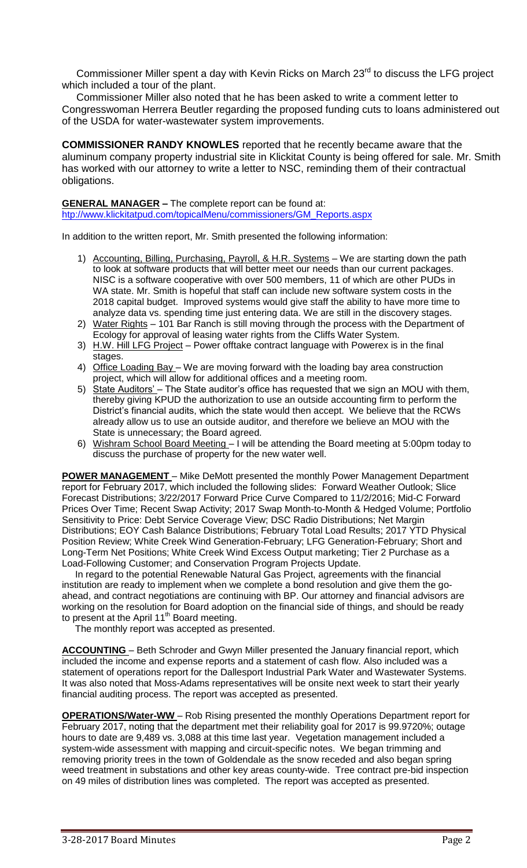Commissioner Miller spent a day with Kevin Ricks on March  $23<sup>rd</sup>$  to discuss the LFG project which included a tour of the plant.

 Commissioner Miller also noted that he has been asked to write a comment letter to Congresswoman Herrera Beutler regarding the proposed funding cuts to loans administered out of the USDA for water-wastewater system improvements.

**COMMISSIONER RANDY KNOWLES** reported that he recently became aware that the aluminum company property industrial site in Klickitat County is being offered for sale. Mr. Smith has worked with our attorney to write a letter to NSC, reminding them of their contractual obligations.

#### **GENERAL MANAGER –** The complete report can be found at:

[htp://www.klickitatpud.com/topicalMenu/commissioners/GM\\_Reports.aspx](http://www.klickitatpud.com/topicalMenu/commissioners/GM_Reports.aspx)

In addition to the written report, Mr. Smith presented the following information:

- 1) Accounting, Billing, Purchasing, Payroll, & H.R. Systems We are starting down the path to look at software products that will better meet our needs than our current packages. NISC is a software cooperative with over 500 members, 11 of which are other PUDs in WA state. Mr. Smith is hopeful that staff can include new software system costs in the 2018 capital budget. Improved systems would give staff the ability to have more time to analyze data vs. spending time just entering data. We are still in the discovery stages.
- 2) Water Rights 101 Bar Ranch is still moving through the process with the Department of Ecology for approval of leasing water rights from the Cliffs Water System.
- 3) H.W. Hill LFG Project Power offtake contract language with Powerex is in the final stages.
- 4) Office Loading Bay We are moving forward with the loading bay area construction project, which will allow for additional offices and a meeting room.
- 5) State Auditors' The State auditor's office has requested that we sign an MOU with them, thereby giving KPUD the authorization to use an outside accounting firm to perform the District's financial audits, which the state would then accept. We believe that the RCWs already allow us to use an outside auditor, and therefore we believe an MOU with the State is unnecessary; the Board agreed.
- 6) Wishram School Board Meeting I will be attending the Board meeting at 5:00pm today to discuss the purchase of property for the new water well.

**POWER MANAGEMENT** – Mike DeMott presented the monthly Power Management Department report for February 2017, which included the following slides: Forward Weather Outlook; Slice Forecast Distributions; 3/22/2017 Forward Price Curve Compared to 11/2/2016; Mid-C Forward Prices Over Time; Recent Swap Activity; 2017 Swap Month-to-Month & Hedged Volume; Portfolio Sensitivity to Price: Debt Service Coverage View; DSC Radio Distributions; Net Margin Distributions; EOY Cash Balance Distributions; February Total Load Results; 2017 YTD Physical Position Review; White Creek Wind Generation-February; LFG Generation-February; Short and Long-Term Net Positions; White Creek Wind Excess Output marketing; Tier 2 Purchase as a Load-Following Customer; and Conservation Program Projects Update.

 In regard to the potential Renewable Natural Gas Project, agreements with the financial institution are ready to implement when we complete a bond resolution and give them the goahead, and contract negotiations are continuing with BP. Our attorney and financial advisors are working on the resolution for Board adoption on the financial side of things, and should be ready to present at the April 11<sup>th</sup> Board meeting.

The monthly report was accepted as presented.

**ACCOUNTING** – Beth Schroder and Gwyn Miller presented the January financial report, which included the income and expense reports and a statement of cash flow. Also included was a statement of operations report for the Dallesport Industrial Park Water and Wastewater Systems. It was also noted that Moss-Adams representatives will be onsite next week to start their yearly financial auditing process. The report was accepted as presented.

**OPERATIONS/Water-WW** – Rob Rising presented the monthly Operations Department report for February 2017, noting that the department met their reliability goal for 2017 is 99.9720%; outage hours to date are 9,489 vs. 3,088 at this time last year. Vegetation management included a system-wide assessment with mapping and circuit-specific notes. We began trimming and removing priority trees in the town of Goldendale as the snow receded and also began spring weed treatment in substations and other key areas county-wide. Tree contract pre-bid inspection on 49 miles of distribution lines was completed. The report was accepted as presented.